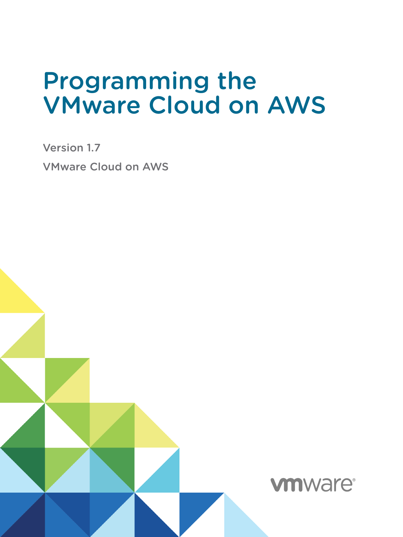# Programming the VMware Cloud on AWS

Version 1.7 VMware Cloud on AWS

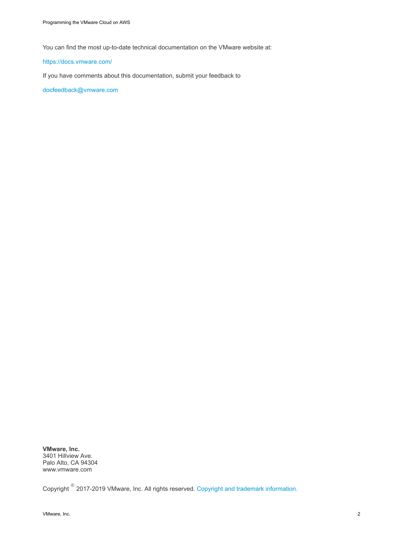You can find the most up-to-date technical documentation on the VMware website at:

#### <https://docs.vmware.com/>

If you have comments about this documentation, submit your feedback to

[docfeedback@vmware.com](mailto:docfeedback@vmware.com)

**VMware, Inc.** 3401 Hillview Ave. Palo Alto, CA 94304 www.vmware.com

 $\mathsf{Copyright}^{~\circledcirc}$  2017-2019 VMware, Inc. All rights reserved.  $\mathsf{Copyright}$  and trademark information.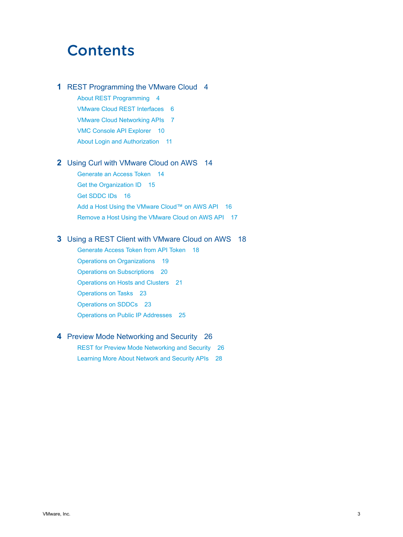# **Contents**

#### **1** [REST Programming the VMware Cloud 4](#page-3-0)

[About REST Programming 4](#page-3-0) [VMware Cloud REST Interfaces 6](#page-5-0) [VMware Cloud Networking APIs 7](#page-6-0) [VMC Console API Explorer 10](#page-9-0) [About Login and Authorization 11](#page-10-0)

### **2** [Using Curl with VMware Cloud on AWS 14](#page-13-0)

[Generate an Access Token 14](#page-13-0) [Get the Organization ID 15](#page-14-0) [Get SDDC IDs 16](#page-15-0) [Add a Host Using the VMware Cloud™ on AWS API 16](#page-15-0) [Remove a Host Using the VMware Cloud on AWS API 17](#page-16-0)

### **3** [Using a REST Client with VMware Cloud on AWS 18](#page-17-0)

[Generate Access Token from API Token 18](#page-17-0) [Operations on Organizations 19](#page-18-0) [Operations on Subscriptions 20](#page-19-0) [Operations on Hosts and Clusters 21](#page-20-0) [Operations on Tasks 23](#page-22-0) [Operations on SDDCs 23](#page-22-0) [Operations on Public IP Addresses 25](#page-24-0)

#### **4** [Preview Mode Networking and Security 26](#page-25-0)

[REST for Preview Mode Networking and Security 26](#page-25-0) [Learning More About Network and Security APIs 28](#page-27-0)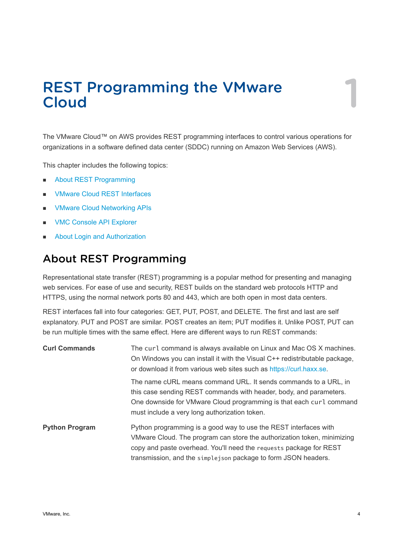# <span id="page-3-0"></span>REST Programming the VMware REST Programming the VMware<br>Cloud

The VMware Cloud™ on AWS provides REST programming interfaces to control various operations for organizations in a software defined data center (SDDC) running on Amazon Web Services (AWS).

This chapter includes the following topics:

- **n** About REST Programming
- **NO [VMware Cloud REST Interfaces](#page-5-0)**
- **NO VIMWARE Cloud Networking APIS**
- **NOC Console API Explorer**
- **n** [About Login and Authorization](#page-10-0)

# About REST Programming

Representational state transfer (REST) programming is a popular method for presenting and managing web services. For ease of use and security, REST builds on the standard web protocols HTTP and HTTPS, using the normal network ports 80 and 443, which are both open in most data centers.

REST interfaces fall into four categories: GET, PUT, POST, and DELETE. The first and last are self explanatory. PUT and POST are similar. POST creates an item; PUT modifies it. Unlike POST, PUT can be run multiple times with the same effect. Here are different ways to run REST commands:

| <b>Curl Commands</b>  | The curl command is always available on Linux and Mac OS X machines.<br>On Windows you can install it with the Visual C++ redistributable package,<br>or download it from various web sites such as https://curl.haxx.se.                                                           |
|-----------------------|-------------------------------------------------------------------------------------------------------------------------------------------------------------------------------------------------------------------------------------------------------------------------------------|
|                       | The name cURL means command URL. It sends commands to a URL, in<br>this case sending REST commands with header, body, and parameters.<br>One downside for VMware Cloud programming is that each curl command<br>must include a very long authorization token.                       |
| <b>Python Program</b> | Python programming is a good way to use the REST interfaces with<br>VMware Cloud. The program can store the authorization token, minimizing<br>copy and paste overhead. You'll need the requests package for REST<br>transmission, and the simplejson package to form JSON headers. |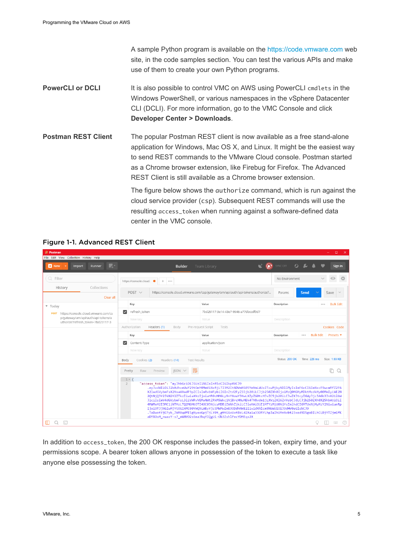A sample Python program is available on the<https://code.vmware.com> web site, in the code samples section. You can test the various APIs and make use of them to create your own Python programs.

- **PowerCLI or DCLI** It is also possible to control VMC on AWS using PowerCLI cmdlets in the Windows PowerShell, or various namespaces in the vSphere Datacenter CLI (DCLI). For more information, go to the VMC Console and click **Developer Center > Downloads**.
- **Postman REST Client** The popular Postman REST client is now available as a free stand-alone application for Windows, Mac OS X, and Linux. It might be the easiest way to send REST commands to the VMware Cloud console. Postman started as a Chrome browser extension, like Firebug for Firefox. The Advanced REST Client is still available as a Chrome browser extension. The figure below shows the authorize command, which is run against the cloud service provider (csp). Subsequent REST commands will use the resulting access\_token when running against a software-defined data center in the VMC console.

| <b>Postman</b>                                                                                                                                                                                                                                                                                                                                                                                                                                                                                                                                                                                                                                                                                                                                                                                                                                                                              |                                                                                                               |                                      | $\Box$<br>$\mathbf{x}$                                                       |  |  |  |  |
|---------------------------------------------------------------------------------------------------------------------------------------------------------------------------------------------------------------------------------------------------------------------------------------------------------------------------------------------------------------------------------------------------------------------------------------------------------------------------------------------------------------------------------------------------------------------------------------------------------------------------------------------------------------------------------------------------------------------------------------------------------------------------------------------------------------------------------------------------------------------------------------------|---------------------------------------------------------------------------------------------------------------|--------------------------------------|------------------------------------------------------------------------------|--|--|--|--|
| File Edit View Collection History Help                                                                                                                                                                                                                                                                                                                                                                                                                                                                                                                                                                                                                                                                                                                                                                                                                                                      |                                                                                                               |                                      |                                                                              |  |  |  |  |
| <b>LAY</b><br><b>D</b> New<br>Import<br>Runner                                                                                                                                                                                                                                                                                                                                                                                                                                                                                                                                                                                                                                                                                                                                                                                                                                              | <b>Builder</b>                                                                                                | $\odot$<br><b>Team Library</b>       | $\Omega$<br>SYNC OFF<br>Sign In                                              |  |  |  |  |
| Q Filter                                                                                                                                                                                                                                                                                                                                                                                                                                                                                                                                                                                                                                                                                                                                                                                                                                                                                    | https://console.cloud.<br>÷<br>$\bullet$<br>0.0.0                                                             |                                      | No Environment                                                               |  |  |  |  |
| Collections<br>History<br>Clear all                                                                                                                                                                                                                                                                                                                                                                                                                                                                                                                                                                                                                                                                                                                                                                                                                                                         | POST $\vee$<br>https://console.cloud.vmware.com/csp/gateway/am/api/auth/api-tokens/authorize?                 | Send<br>Save<br>Params               |                                                                              |  |  |  |  |
| v Today                                                                                                                                                                                                                                                                                                                                                                                                                                                                                                                                                                                                                                                                                                                                                                                                                                                                                     | Key                                                                                                           | Value                                | Description<br><b>Bulk Edit</b><br>0.0.0                                     |  |  |  |  |
| https://console.cloud.vmware.com/cs<br><b>POST</b>                                                                                                                                                                                                                                                                                                                                                                                                                                                                                                                                                                                                                                                                                                                                                                                                                                          | refresh_token<br>▿                                                                                            | 7bd25117-3e14-43e7-9946-a77dbccdf9d7 |                                                                              |  |  |  |  |
| p/gateway/am/api/auth/api-tokens/a<br>uthorize?refresh token=7bd25117-3                                                                                                                                                                                                                                                                                                                                                                                                                                                                                                                                                                                                                                                                                                                                                                                                                     | New key                                                                                                       | Value                                | Description                                                                  |  |  |  |  |
|                                                                                                                                                                                                                                                                                                                                                                                                                                                                                                                                                                                                                                                                                                                                                                                                                                                                                             | Authorization<br>Headers (1)<br>Pre-request Script<br>Body                                                    | Cookies Code                         |                                                                              |  |  |  |  |
|                                                                                                                                                                                                                                                                                                                                                                                                                                                                                                                                                                                                                                                                                                                                                                                                                                                                                             | Key                                                                                                           | Value                                | <b>Bulk Edit</b><br>Presets $\blacktriangledown$<br>Description<br>$0\;0\;0$ |  |  |  |  |
|                                                                                                                                                                                                                                                                                                                                                                                                                                                                                                                                                                                                                                                                                                                                                                                                                                                                                             | M<br>Content-Type                                                                                             | application/json                     |                                                                              |  |  |  |  |
|                                                                                                                                                                                                                                                                                                                                                                                                                                                                                                                                                                                                                                                                                                                                                                                                                                                                                             | New key                                                                                                       | Value                                | Description                                                                  |  |  |  |  |
|                                                                                                                                                                                                                                                                                                                                                                                                                                                                                                                                                                                                                                                                                                                                                                                                                                                                                             | Status: 200 OK<br>Time: 226 ms<br>Size: 1.59 KB<br>Cookies (2)<br>Headers (14)<br>Body<br><b>Test Results</b> |                                      |                                                                              |  |  |  |  |
|                                                                                                                                                                                                                                                                                                                                                                                                                                                                                                                                                                                                                                                                                                                                                                                                                                                                                             | n.<br>$\Omega$                                                                                                |                                      |                                                                              |  |  |  |  |
| $1 - 1$<br>"access_token": "eyJhbGciOiJSUzI1NiIsInR5cCI6IkpXVCJ9<br>$\overline{2}$<br>.evJzdWIiOiJ2bXdhcmUuY29tOmY0MmViNzRjLTI3M2ItNDVmNS05YmVmLWUzZTcwMjkyNDllMyIsImF6cCI6ImNzcF9wcmRfZ2F6<br>X21udGVybmFsX2NsaWVudF9pZCIsImRvbWFpbiI6InZtd2FyZS5jb20iLCJjb250ZXh0IjoiMzQ0MGMyMDktMzdkMy00MmIyLWE2N<br>2QtNjQ3Y2JkN2Y2ZTkzIiwiaXNzIjoiaHR0cHM6Ly9nYXouY3NwLXZpZG0tcHJvZC5jb20iLCJwZXJtcyI6WyJjc3A6b3JnX211bW<br>JlciIsImV4dGVybmFsL3liVWRvVEMwNWtZRkM5Wkc1NjBrcHNuMEk4TV8vdm1jLXVzZXI6ZnVsbCJdLCJjb250ZXh0X25hbWUiOiI<br>4MWMxM2I3MC1jNTMzLTQ2MGMtOTI4OC03NjcyMDBjZWNhZjkiLCJleHAiOjE1MTYzMjU0NjYsImlhdCI6MTUxNjMyMzY2NiwianRp<br>IjoiOTJjNGIwMjYtOGI4MC00YWO5LWEyYjctMWMwZmE3ODdhNWE2IiwidXNlcm5hbWUiOiJ3dHV0aGlsbCJ9<br>.ToDwotYjCFyb 7WMAqdfE5gNyeoGpjTjLY0t gttGioVxtBzLd2Xa1a33ORYLhpJaIhUMnNvbt23xed9D5goBILhCLBjYTZjmGfK<br>aDYXOoM nuazY-s7 mWNV02s6ma3hqYIQgUi-Ob3ZshlPecYDMEqx2X |                                                                                                               |                                      |                                                                              |  |  |  |  |
| $\sum$<br>m<br>Q                                                                                                                                                                                                                                                                                                                                                                                                                                                                                                                                                                                                                                                                                                                                                                                                                                                                            |                                                                                                               |                                      | $\circledR$<br>т<br>$\frac{1}{2}$<br>Q                                       |  |  |  |  |

### Figure 1-1. Advanced REST Client

In addition to access\_token, the 200 OK response includes the passed-in token, expiry time, and your permissions scope. A bearer token allows anyone in possession of the token to execute a task like anyone else possessing the token.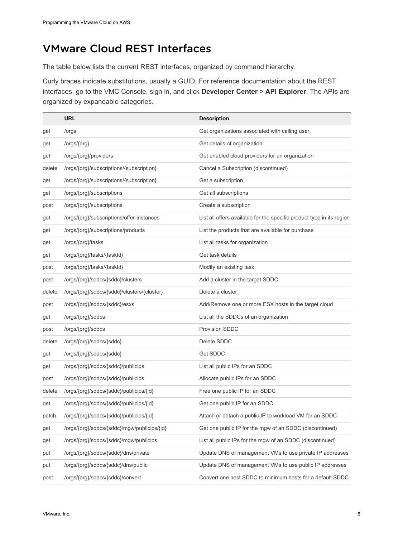# <span id="page-5-0"></span>VMware Cloud REST Interfaces

The table below lists the current REST interfaces, organized by command hierarchy.

Curly braces indicate substitutions, usually a GUID. For reference documentation about the REST interfaces, go to the VMC Console, sign in, and click **Developer Center > API Explorer**. The APIs are organized by expandable categories.

|        | <b>URL</b>                                  | <b>Description</b>                                                    |
|--------|---------------------------------------------|-----------------------------------------------------------------------|
| get    | /orgs                                       | Get organizations associated with calling user                        |
| get    | /orgs/{org}                                 | Get details of organization                                           |
| get    | /orgs/{org}/providers                       | Get enabled cloud providers for an organization                       |
| delete | /orgs/{org}/subscriptions/{subscription}    | Cancel a Subscription (discontinued)                                  |
| get    | /orgs/{org}/subscriptions/{subscription}    | Get a subscription                                                    |
| get    | /orgs/{org}/subscriptions                   | Get all subscriptions                                                 |
| post   | /orgs/{org}/subscriptions                   | Create a subscription                                                 |
| get    | /orgs/{org}/subscriptions/offer-instances   | List all offers available for the specific product type in its region |
| get    | /orgs/{org}/subscriptions/products          | List the products that are available for purchase                     |
| get    | /orgs/{org}/tasks                           | List all tasks for organization                                       |
| get    | /orgs/{org}/tasks/{taskId}                  | Get task details                                                      |
| post   | /orgs/{org}/tasks/{taskId}                  | Modify an existing task                                               |
| post   | /orgs/{org}/sddcs/{sddc}/clusters           | Add a cluster in the target SDDC                                      |
| delete | /orgs/{org}/sddcs/{sddc}/clusters/{cluster} | Delete a cluster                                                      |
| post   | /orgs/{org}/sddcs/{sddc}/esxs               | Add/Remove one or more ESX hosts in the target cloud                  |
| get    | /orgs/{org}/sddcs                           | List all the SDDCs of an organization                                 |
| post   | /orgs/{org}/sddcs                           | <b>Provision SDDC</b>                                                 |
| delete | /orgs/{org}/sddcs/{sddc}                    | Delete SDDC                                                           |
| get    | /orgs/{org}/sddcs/{sddc}                    | Get SDDC                                                              |
| get    | /orgs/{org}/sddcs/{sddc}/publicips          | List all public IPs for an SDDC                                       |
| post   | /orgs/{org}/sddcs/{sddc}/publicips          | Allocate public IPs for an SDDC                                       |
| delete | /orgs/{org}/sddcs/{sddc}/publicips/{id}     | Free one public IP for an SDDC                                        |
| get    | /orgs/{org}/sddcs/{sddc}/publicips/{id}     | Get one public IP for an SDDC                                         |
| patch  | /orgs/{org}/sddcs/{sddc}/publicips/{id}     | Attach or detach a public IP to workload VM for an SDDC               |
| get    | /orgs/{org}/sddcs/{sddc}/mgw/publicips/{id} | Get one public IP for the mgw of an SDDC (discontinued)               |
| get    | /orgs/{org}/sddcs/{sddc}/mgw/publicips      | List all public IPs for the mgw of an SDDC (discontinued)             |
| put    | /orgs/{org}/sddcs/{sddc}/dns/private        | Update DNS of management VMs to use private IP addresses              |
| put    | /orgs/{org}/sddcs/{sddc}/dns/public         | Update DNS of management VMs to use public IP addresses               |
| post   | /orgs/{org}/sddcs/{sddc}/convert            | Convert one host SDDC to minimum hosts for a default SDDC             |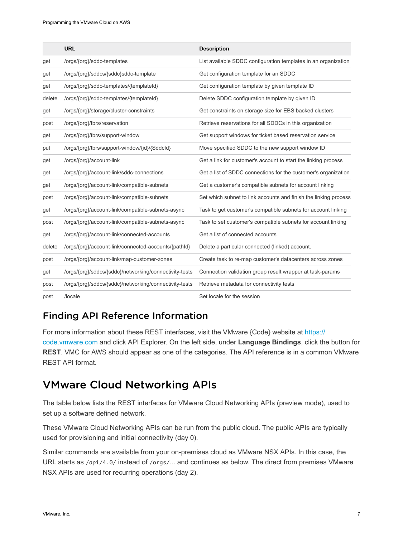<span id="page-6-0"></span>

|        | <b>URL</b>                                             | <b>Description</b>                                               |
|--------|--------------------------------------------------------|------------------------------------------------------------------|
| get    | /orgs/{org}/sddc-templates                             | List available SDDC configuration templates in an organization   |
| get    | /orgs/{org}/sddcs/{sddc}sddc-template                  | Get configuration template for an SDDC                           |
| get    | /orgs/{org}/sddc-templates/{templateId}                | Get configuration template by given template ID                  |
| delete | /orgs/{org}/sddc-templates/{templateId}                | Delete SDDC configuration template by given ID                   |
| get    | /orgs/{org}/storage/cluster-constraints                | Get constraints on storage size for EBS backed clusters          |
| post   | /orgs/{org}/tbrs/reservation                           | Retrieve reservations for all SDDCs in this organization         |
| get    | /orgs/{org}/tbrs/support-window                        | Get support windows for ticket based reservation service         |
| put    | /orgs/{org}/tbrs/support-window/{id}/{Sddcld}          | Move specified SDDC to the new support window ID                 |
| get    | /orgs/{org}/account-link                               | Get a link for customer's account to start the linking process   |
| get    | /orgs/{org}/account-link/sddc-connections              | Get a list of SDDC connections for the customer's organization   |
| get    | /orgs/{org}/account-link/compatible-subnets            | Get a customer's compatible subnets for account linking          |
| post   | /orgs/{org}/account-link/compatible-subnets            | Set which subnet to link accounts and finish the linking process |
| get    | /orgs/{org}/account-link/compatible-subnets-async      | Task to get customer's compatible subnets for account linking    |
| post   | /orgs/{org}/account-link/compatible-subnets-async      | Task to set customer's compatible subnets for account linking    |
| get    | /orgs/{org}/account-link/connected-accounts            | Get a list of connected accounts                                 |
| delete | /orgs/{org}/account-link/connected-accounts/{pathId}   | Delete a particular connected (linked) account.                  |
| post   | /orgs/{org}/account-link/map-customer-zones            | Create task to re-map customer's datacenters across zones        |
| get    | /orgs/{org}/sddcs/{sddc}/networking/connectivity-tests | Connection validation group result wrapper at task-params        |
| post   | /orgs/{org}/sddcs/{sddc}/networking/connectivity-tests | Retrieve metadata for connectivity tests                         |
| post   | /locale                                                | Set locale for the session                                       |

### Finding API Reference Information

For more information about these REST interfaces, visit the VMware {Code} website at [https://](https://code.vmware.com) [code.vmware.com](https://code.vmware.com) and click API Explorer. On the left side, under **Language Bindings**, click the button for **REST**. VMC for AWS should appear as one of the categories. The API reference is in a common VMware REST API format.

# VMware Cloud Networking APIs

The table below lists the REST interfaces for VMware Cloud Networking APIs (preview mode), used to set up a software defined network.

These VMware Cloud Networking APIs can be run from the public cloud. The public APIs are typically used for provisioning and initial connectivity (day 0).

Similar commands are available from your on-premises cloud as VMware NSX APIs. In this case, the URL starts as /api/4.0/ instead of /orgs/... and continues as below. The direct from premises VMware NSX APIs are used for recurring operations (day 2).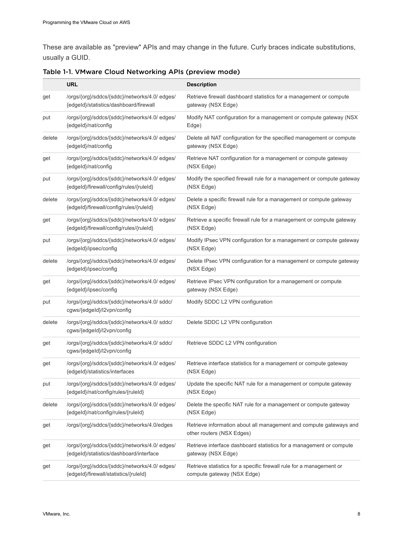These are available as "preview" APIs and may change in the future. Curly braces indicate substitutions, usually a GUID.

|        | <b>URL</b>                                                                               | <b>Description</b>                                                                                 |
|--------|------------------------------------------------------------------------------------------|----------------------------------------------------------------------------------------------------|
| get    | /orgs/{org}/sddcs/{sddc}/networks/4.0/ edges/<br>{edgeld}/statistics/dashboard/firewall  | Retrieve firewall dashboard statistics for a management or compute<br>gateway (NSX Edge)           |
| put    | /orgs/{org}/sddcs/{sddc}/networks/4.0/ edges/<br>{edgeId}/nat/config                     | Modify NAT configuration for a management or compute gateway (NSX<br>Edge)                         |
| delete | /orgs/{org}/sddcs/{sddc}/networks/4.0/ edges/<br>{edgeId}/nat/config                     | Delete all NAT configuration for the specified management or compute<br>gateway (NSX Edge)         |
| get    | /orgs/{org}/sddcs/{sddc}/networks/4.0/ edges/<br>{edgeId}/nat/config                     | Retrieve NAT configuration for a management or compute gateway<br>(NSX Edge)                       |
| put    | /orgs/{org}/sddcs/{sddc}/networks/4.0/ edges/<br>{edgeId}/firewall/config/rules/{ruleId} | Modify the specified firewall rule for a management or compute gateway<br>(NSX Edge)               |
| delete | /orgs/{org}/sddcs/{sddc}/networks/4.0/ edges/<br>{edgeId}/firewall/config/rules/{ruleId} | Delete a specific firewall rule for a management or compute gateway<br>(NSX Edge)                  |
| get    | /orgs/{org}/sddcs/{sddc}/networks/4.0/ edges/<br>{edgeId}/firewall/config/rules/{ruleId} | Retrieve a specific firewall rule for a management or compute gateway<br>(NSX Edge)                |
| put    | /orgs/{org}/sddcs/{sddc}/networks/4.0/ edges/<br>{edgeId}/ipsec/config                   | Modify IPsec VPN configuration for a management or compute gateway<br>(NSX Edge)                   |
| delete | /orgs/{org}/sddcs/{sddc}/networks/4.0/ edges/<br>{edgeId}/ipsec/config                   | Delete IPsec VPN configuration for a management or compute gateway<br>(NSX Edge)                   |
| get    | /orgs/{org}/sddcs/{sddc}/networks/4.0/ edges/<br>{edgeId}/ipsec/config                   | Retrieve IPsec VPN configuration for a management or compute<br>gateway (NSX Edge)                 |
| put    | /orgs/{org}/sddcs/{sddc}/networks/4.0/ sddc/<br>cgws/{edgeId}/l2vpn/config               | Modify SDDC L2 VPN configuration                                                                   |
| delete | /orgs/{org}/sddcs/{sddc}/networks/4.0/ sddc/<br>cgws/{edgeId}/l2vpn/config               | Delete SDDC L2 VPN configuration                                                                   |
| get    | /orgs/{org}/sddcs/{sddc}/networks/4.0/ sddc/<br>cgws/{edgeId}/l2vpn/config               | Retrieve SDDC L2 VPN configuration                                                                 |
| get    | /orgs/{org}/sddcs/{sddc}/networks/4.0/ edges/<br>{edgeId}/statistics/interfaces          | Retrieve interface statistics for a management or compute gateway<br>(NSX Edge)                    |
| put    | /orgs/{org}/sddcs/{sddc}/networks/4.0/ edges/<br>{edgeId}/nat/config/rules/{ruleId}      | Update the specific NAT rule for a management or compute gateway<br>(NSX Edge)                     |
| delete | /orgs/{org}/sddcs/{sddc}/networks/4.0/ edges/<br>{edgeId}/nat/config/rules/{ruleId}      | Delete the specific NAT rule for a management or compute gateway<br>(NSX Edge)                     |
| get    | /orgs/{org}/sddcs/{sddc}/networks/4.0/edges                                              | Retrieve information about all management and compute gateways and<br>other routers (NSX Edges)    |
| get    | /orgs/{org}/sddcs/{sddc}/networks/4.0/ edges/<br>{edgeId}/statistics/dashboard/interface | Retrieve interface dashboard statistics for a management or compute<br>gateway (NSX Edge)          |
| get    | /orgs/{org}/sddcs/{sddc}/networks/4.0/ edges/<br>{edgeld}/firewall/statistics/{ruleId}   | Retrieve statistics for a specific firewall rule for a management or<br>compute gateway (NSX Edge) |

Table 1-1. VMware Cloud Networking APIs (preview mode)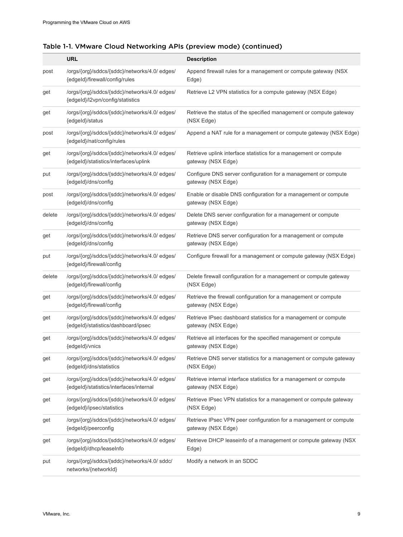|        | <b>URL</b>                                                                               | <b>Description</b>                                                                       |
|--------|------------------------------------------------------------------------------------------|------------------------------------------------------------------------------------------|
| post   | /orgs/{org}/sddcs/{sddc}/networks/4.0/ edges/<br>{edgeId}/firewall/config/rules          | Append firewall rules for a management or compute gateway (NSX<br>Edge)                  |
| get    | /orgs/{org}/sddcs/{sddc}/networks/4.0/ edges/<br>{edgeId}/l2vpn/config/statistics        | Retrieve L2 VPN statistics for a compute gateway (NSX Edge)                              |
| get    | /orgs/{org}/sddcs/{sddc}/networks/4.0/ edges/<br>{edgeId}/status                         | Retrieve the status of the specified management or compute gateway<br>(NSX Edge)         |
| post   | /orgs/{org}/sddcs/{sddc}/networks/4.0/ edges/<br>{edgeId}/nat/config/rules               | Append a NAT rule for a management or compute gateway (NSX Edge)                         |
| get    | /orgs/{org}/sddcs/{sddc}/networks/4.0/ edges/<br>{edgeId}/statistics/interfaces/uplink   | Retrieve uplink interface statistics for a management or compute<br>gateway (NSX Edge)   |
| put    | /orgs/{org}/sddcs/{sddc}/networks/4.0/ edges/<br>{edgeId}/dns/config                     | Configure DNS server configuration for a management or compute<br>gateway (NSX Edge)     |
| post   | /orgs/{org}/sddcs/{sddc}/networks/4.0/ edges/<br>{edgeId}/dns/config                     | Enable or disable DNS configuration for a management or compute<br>gateway (NSX Edge)    |
| delete | /orgs/{org}/sddcs/{sddc}/networks/4.0/ edges/<br>{edgeId}/dns/config                     | Delete DNS server configuration for a management or compute<br>gateway (NSX Edge)        |
| get    | /orgs/{org}/sddcs/{sddc}/networks/4.0/ edges/<br>{edgeId}/dns/config                     | Retrieve DNS server configuration for a management or compute<br>gateway (NSX Edge)      |
| put    | /orgs/{org}/sddcs/{sddc}/networks/4.0/ edges/<br>{edgeId}/firewall/config                | Configure firewall for a management or compute gateway (NSX Edge)                        |
| delete | /orgs/{org}/sddcs/{sddc}/networks/4.0/ edges/<br>{edgeId}/firewall/config                | Delete firewall configuration for a management or compute gateway<br>(NSX Edge)          |
| get    | /orgs/{org}/sddcs/{sddc}/networks/4.0/ edges/<br>{edgeId}/firewall/config                | Retrieve the firewall configuration for a management or compute<br>gateway (NSX Edge)    |
| get    | /orgs/{org}/sddcs/{sddc}/networks/4.0/ edges/<br>{edgeld}/statistics/dashboard/ipsec     | Retrieve IPsec dashboard statistics for a management or compute<br>gateway (NSX Edge)    |
| get    | /orgs/{org}/sddcs/{sddc}/networks/4.0/ edges/<br>{edgeId}/vnics                          | Retrieve all interfaces for the specified management or compute<br>gateway (NSX Edge)    |
| get    | /orgs/{org}/sddcs/{sddc}/networks/4.0/ edges/<br>{edgeId}/dns/statistics                 | Retrieve DNS server statistics for a management or compute gateway<br>(NSX Edge)         |
| get    | /orgs/{org}/sddcs/{sddc}/networks/4.0/ edges/<br>{edgeId}/statistics/interfaces/internal | Retrieve internal interface statistics for a management or compute<br>gateway (NSX Edge) |
| get    | /orgs/{org}/sddcs/{sddc}/networks/4.0/ edges/<br>{edgeId}/ipsec/statistics               | Retrieve IPsec VPN statistics for a management or compute gateway<br>(NSX Edge)          |
| get    | /orgs/{org}/sddcs/{sddc}/networks/4.0/ edges/<br>{edgeId}/peerconfig                     | Retrieve IPsec VPN peer configuration for a management or compute<br>gateway (NSX Edge)  |
| get    | /orgs/{org}/sddcs/{sddc}/networks/4.0/ edges/<br>{edgeId}/dhcp/leaseInfo                 | Retrieve DHCP leaseinfo of a management or compute gateway (NSX<br>Edge)                 |
| put    | /orgs/{org}/sddcs/{sddc}/networks/4.0/ sddc/<br>networks/{networkId}                     | Modify a network in an SDDC                                                              |

| Table 1-1. VMware Cloud Networking APIs (preview mode) (continued) |  |
|--------------------------------------------------------------------|--|
|--------------------------------------------------------------------|--|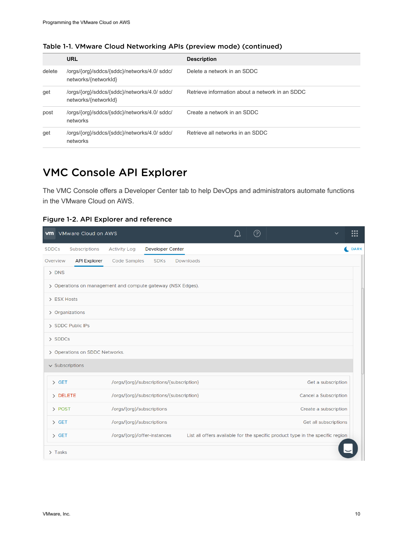|        | URL                                                                  | <b>Description</b>                              |
|--------|----------------------------------------------------------------------|-------------------------------------------------|
| delete | /orgs/{org}/sddcs/{sddc}/networks/4.0/ sddc/<br>networks/{networkId} | Delete a network in an SDDC                     |
| get    | /orgs/{org}/sddcs/{sddc}/networks/4.0/ sddc/<br>networks/{networkId} | Retrieve information about a network in an SDDC |
| post   | /orgs/{org}/sddcs/{sddc}/networks/4.0/ sddc/<br>networks             | Create a network in an SDDC                     |
| get    | /orgs/{org}/sddcs/{sddc}/networks/4.0/ sddc/<br>networks             | Retrieve all networks in an SDDC                |

<span id="page-9-0"></span>Table 1-1. VMware Cloud Networking APIs (preview mode) (continued)

# VMC Console API Explorer

The VMC Console offers a Developer Center tab to help DevOps and administrators automate functions in the VMware Cloud on AWS.

Figure 1-2. API Explorer and reference

|                      | <b>vm</b> VMware Cloud on AWS                               |                                          |                         |                  |  | ೧ | $\checkmark$                                                                   | ш    |
|----------------------|-------------------------------------------------------------|------------------------------------------|-------------------------|------------------|--|---|--------------------------------------------------------------------------------|------|
| <b>SDDCs</b>         | Subscriptions                                               | <b>Activity Log</b>                      | <b>Developer Center</b> |                  |  |   |                                                                                | DARK |
| Overview             | <b>API Explorer</b>                                         | Code Samples                             | <b>SDKs</b>             | <b>Downloads</b> |  |   |                                                                                |      |
| $>$ DNS              |                                                             |                                          |                         |                  |  |   |                                                                                |      |
|                      | > Operations on management and compute gateway (NSX Edges). |                                          |                         |                  |  |   |                                                                                |      |
| > ESX Hosts          |                                                             |                                          |                         |                  |  |   |                                                                                |      |
|                      | > Organizations                                             |                                          |                         |                  |  |   |                                                                                |      |
|                      | > SDDC Public IPs                                           |                                          |                         |                  |  |   |                                                                                |      |
| > SDDCs              |                                                             |                                          |                         |                  |  |   |                                                                                |      |
|                      | > Operations on SDDC Networks.                              |                                          |                         |                  |  |   |                                                                                |      |
| $\vee$ Subscriptions |                                                             |                                          |                         |                  |  |   |                                                                                |      |
| $\angle$ GET         |                                                             | /orgs/{org}/subscriptions/{subscription} |                         |                  |  |   | Get a subscription                                                             |      |
| > DELETE             |                                                             | /orgs/{org}/subscriptions/{subscription} |                         |                  |  |   | Cancel a Subscription                                                          |      |
| > POST               |                                                             | /orgs/{org}/subscriptions                |                         |                  |  |   | Create a subscription                                                          |      |
| $\angle$ GET         |                                                             | /orgs/{org}/subscriptions                |                         |                  |  |   | Get all subscriptions                                                          |      |
| $\angle$ GET         |                                                             | /orgs/{org}/offer-instances              |                         |                  |  |   | List all offers available for the specific product type in the specific region |      |
| $\sum$ Tasks         |                                                             |                                          |                         |                  |  |   |                                                                                |      |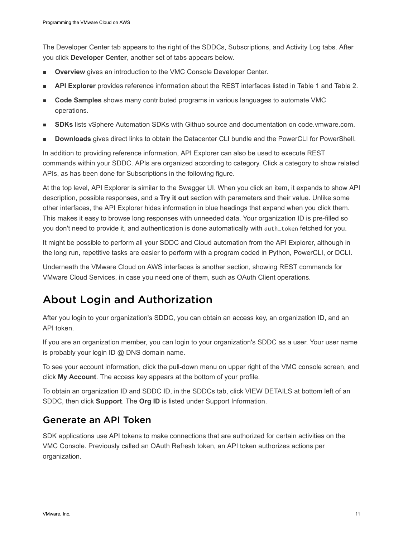<span id="page-10-0"></span>The Developer Center tab appears to the right of the SDDCs, Subscriptions, and Activity Log tabs. After you click **Developer Center**, another set of tabs appears below.

- **Overview** gives an introduction to the VMC Console Developer Center.
- <sup>n</sup> **API Explorer** provides reference information about the REST interfaces listed in Table 1 and Table 2.
- <sup>n</sup> **Code Samples** shows many contributed programs in various languages to automate VMC operations.
- **SDKs** lists vSphere Automation SDKs with Github source and documentation on code.vmware.com.
- **Downloads** gives direct links to obtain the Datacenter CLI bundle and the PowerCLI for PowerShell.

In addition to providing reference information, API Explorer can also be used to execute REST commands within your SDDC. APIs are organized according to category. Click a category to show related APIs, as has been done for Subscriptions in the following figure.

At the top level, API Explorer is similar to the Swagger UI. When you click an item, it expands to show API description, possible responses, and a **Try it out** section with parameters and their value. Unlike some other interfaces, the API Explorer hides information in blue headings that expand when you click them. This makes it easy to browse long responses with unneeded data. Your organization ID is pre-filled so you don't need to provide it, and authentication is done automatically with auth\_token fetched for you.

It might be possible to perform all your SDDC and Cloud automation from the API Explorer, although in the long run, repetitive tasks are easier to perform with a program coded in Python, PowerCLI, or DCLI.

Underneath the VMware Cloud on AWS interfaces is another section, showing REST commands for VMware Cloud Services, in case you need one of them, such as OAuth Client operations.

# About Login and Authorization

After you login to your organization's SDDC, you can obtain an access key, an organization ID, and an API token.

If you are an organization member, you can login to your organization's SDDC as a user. Your user name is probably your login ID @ DNS domain name.

To see your account information, click the pull-down menu on upper right of the VMC console screen, and click **My Account**. The access key appears at the bottom of your profile.

To obtain an organization ID and SDDC ID, in the SDDCs tab, click VIEW DETAILS at bottom left of an SDDC, then click **Support**. The **Org ID** is listed under Support Information.

### Generate an API Token

SDK applications use API tokens to make connections that are authorized for certain activities on the VMC Console. Previously called an OAuth Refresh token, an API token authorizes actions per organization.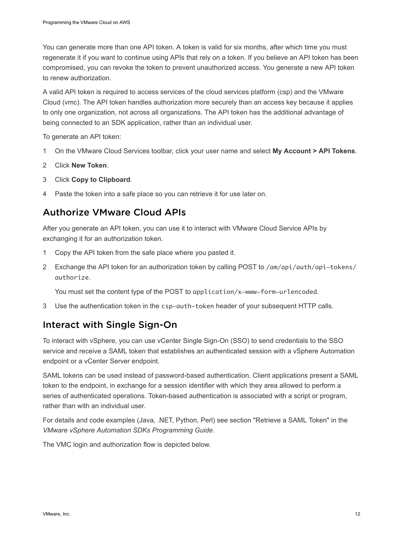You can generate more than one API token. A token is valid for six months, after which time you must regenerate it if you want to continue using APIs that rely on a token. If you believe an API token has been compromised, you can revoke the token to prevent unauthorized access. You generate a new API token to renew authorization.

A valid API token is required to access services of the cloud services platform (csp) and the VMware Cloud (vmc). The API token handles authorization more securely than an access key because it applies to only one organization, not across all organizations. The API token has the additional advantage of being connected to an SDK application, rather than an individual user.

To generate an API token:

- 1 On the VMware Cloud Services toolbar, click your user name and select **My Account > API Tokens**.
- 2 Click **New Token**.
- 3 Click **Copy to Clipboard**.
- 4 Paste the token into a safe place so you can retrieve it for use later on.

### Authorize VMware Cloud APIs

After you generate an API token, you can use it to interact with VMware Cloud Service APIs by exchanging it for an authorization token.

- 1 Copy the API token from the safe place where you pasted it.
- 2 Exchange the API token for an authorization token by calling POST to /am/api/auth/api-tokens/ authorize.

You must set the content type of the POST to application/x-www-form-urlencoded.

3 Use the authentication token in the csp-auth-token header of your subsequent HTTP calls.

### Interact with Single Sign-On

To interact with vSphere, you can use vCenter Single Sign-On (SSO) to send credentials to the SSO service and receive a SAML token that establishes an authenticated session with a vSphere Automation endpoint or a vCenter Server endpoint.

SAML tokens can be used instead of password-based authentication. Client applications present a SAML token to the endpoint, in exchange for a session identifier with which they area allowed to perform a series of authenticated operations. Token-based authentication is associated with a script or program, rather than with an individual user.

For details and code examples (Java, .NET, Python, Perl) see section "Retrieve a SAML Token" in the *VMware vSphere Automation SDKs Programming Guide*.

The VMC login and authorization flow is depicted below.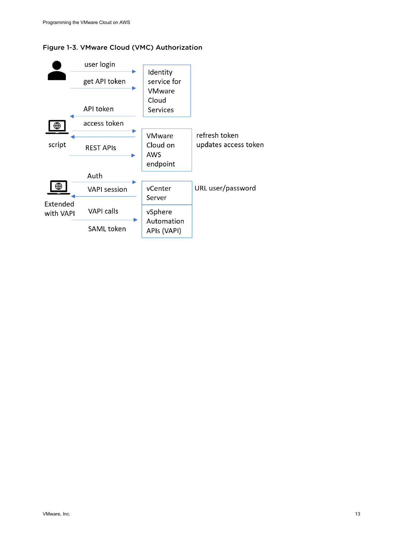

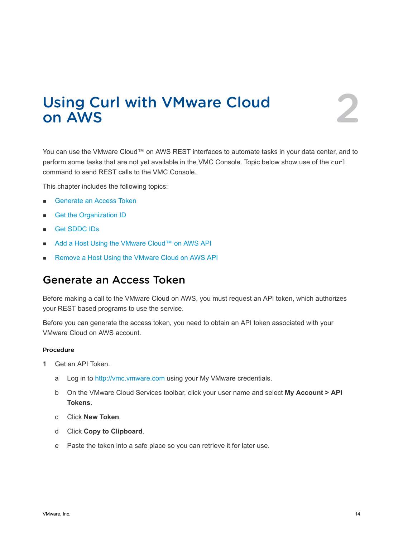# <span id="page-13-0"></span>Using Curl with VMware Cloud Using Curl with VMware Cloud<br>on AWS

You can use the VMware Cloud™ on AWS REST interfaces to automate tasks in your data center, and to perform some tasks that are not yet available in the VMC Console. Topic below show use of the curl command to send REST calls to the VMC Console.

This chapter includes the following topics:

- **n** Generate an Access Token
- **n** [Get the Organization ID](#page-14-0)
- <sup>n</sup> [Get SDDC IDs](#page-15-0)
- [Add a Host Using the VMware Cloud™ on AWS API](#page-15-0)
- [Remove a Host Using the VMware Cloud on AWS API](#page-16-0)

### Generate an Access Token

Before making a call to the VMware Cloud on AWS, you must request an API token, which authorizes your REST based programs to use the service.

Before you can generate the access token, you need to obtain an API token associated with your VMware Cloud on AWS account.

#### Procedure

- **1** Get an API Token.
	- a Log in to<http://vmc.vmware.com>using your My VMware credentials.
	- b On the VMware Cloud Services toolbar, click your user name and select **My Account > API Tokens**.
	- c Click **New Token**.
	- d Click **Copy to Clipboard**.
	- e Paste the token into a safe place so you can retrieve it for later use.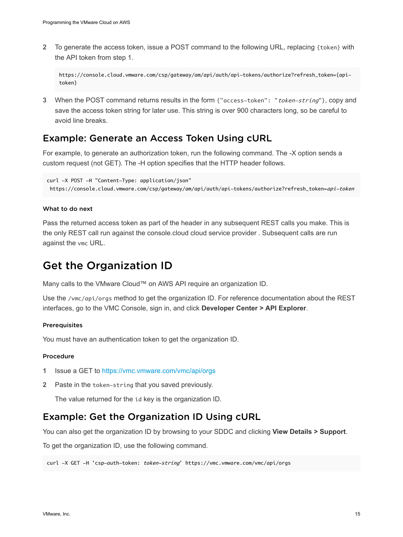<span id="page-14-0"></span>**2** To generate the access token, issue a POST command to the following URL, replacing {token} with the API token from step 1.

```
https://console.cloud.vmware.com/csp/gateway/am/api/auth/api-tokens/authorize?refresh_token={api-
token}
```
**3** When the POST command returns results in the form {"access-token": "token-string"}, copy and save the access token string for later use. This string is over 900 characters long, so be careful to avoid line breaks.

### Example: Generate an Access Token Using cURL

For example, to generate an authorization token, run the following command. The -X option sends a custom request (not GET). The -H option specifies that the HTTP header follows.

```
curl -X POST -H "Content-Type: application/json"
  https://console.cloud.vmware.com/csp/gateway/am/api/auth/api-tokens/authorize?refresh_token=api-token
```
#### What to do next

Pass the returned access token as part of the header in any subsequent REST calls you make. This is the only REST call run against the console.cloud cloud service provider . Subsequent calls are run against the vmc URL.

### Get the Organization ID

Many calls to the VMware Cloud™ on AWS API require an organization ID.

Use the /vmc/api/orgs method to get the organization ID. For reference documentation about the REST interfaces, go to the VMC Console, sign in, and click **Developer Center > API Explorer**.

#### Prerequisites

You must have an authentication token to get the organization ID.

#### Procedure

- **1** Issue a GET to<https://vmc.vmware.com/vmc/api/orgs>
- **2** Paste in the token-string that you saved previously.

The value returned for the id key is the organization ID.

### Example: Get the Organization ID Using cURL

You can also get the organization ID by browsing to your SDDC and clicking **View Details > Support**.

To get the organization ID, use the following command.

curl -X GET -H 'csp-auth-token: token-string' https://vmc.vmware.com/vmc/api/orgs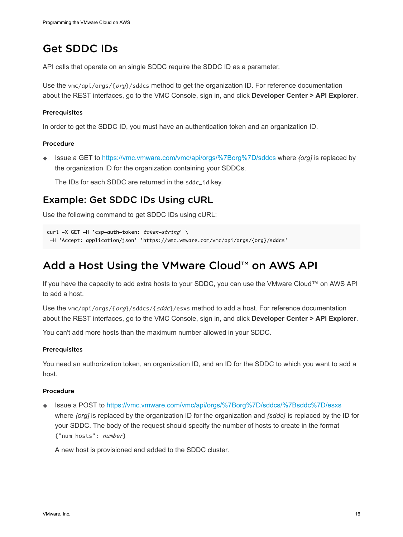# <span id="page-15-0"></span>Get SDDC IDs

API calls that operate on an single SDDC require the SDDC ID as a parameter.

Use the vmc/api/orgs/{org}/sddcs method to get the organization ID. For reference documentation about the REST interfaces, go to the VMC Console, sign in, and click **Developer Center > API Explorer**.

### Prerequisites

In order to get the SDDC ID, you must have an authentication token and an organization ID.

### Procedure

◆ Issue a GET to<https://vmc.vmware.com/vmc/api/orgs/%7Borg%7D/sddcs>where *{org]* is replaced by the organization ID for the organization containing your SDDCs.

The IDs for each SDDC are returned in the sddc\_id key.

### Example: Get SDDC IDs Using cURL

Use the following command to get SDDC IDs using cURL:

```
curl -X GET -H 'csp-auth-token: token-string' \
  -H 'Accept: application/json' 'https://vmc.vmware.com/vmc/api/orgs/{org}/sddcs'
```
# Add a Host Using the VMware Cloud™ on AWS API

If you have the capacity to add extra hosts to your SDDC, you can use the VMware Cloud™ on AWS API to add a host.

Use the vmc/api/orgs/{org}/sddcs/{sddc}/esxs method to add a host. For reference documentation about the REST interfaces, go to the VMC Console, sign in, and click **Developer Center > API Explorer**.

You can't add more hosts than the maximum number allowed in your SDDC.

#### Prerequisites

You need an authorization token, an organization ID, and an ID for the SDDC to which you want to add a host.

### Procedure

<sup>u</sup> Issue a POST to<https://vmc.vmware.com/vmc/api/orgs/%7Borg%7D/sddcs/%7Bsddc%7D/esxs> where *{org]* is replaced by the organization ID for the organization and *{sddc}* is replaced by the ID for your SDDC. The body of the request should specify the number of hosts to create in the format {"num\_hosts": number}

A new host is provisioned and added to the SDDC cluster.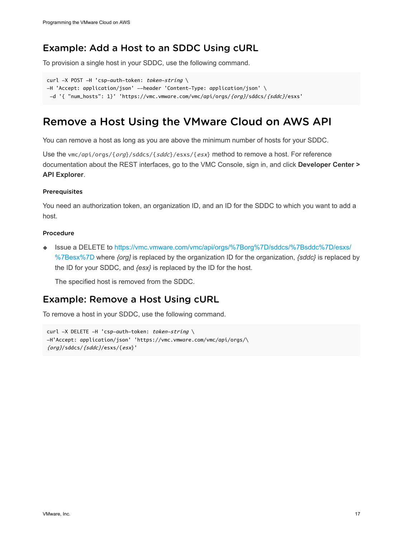## <span id="page-16-0"></span>Example: Add a Host to an SDDC Using cURL

To provision a single host in your SDDC, use the following command.

```
curl -X POST -H 'csp-auth-token: token-string \
-H 'Accept: application/json' --header 'Content-Type: application/json' \
  -d '{ "num_hosts": 1}' 'https://vmc.vmware.com/vmc/api/orgs/{org}/sddcs/{sddc}/esxs'
```
# Remove a Host Using the VMware Cloud on AWS API

You can remove a host as long as you are above the minimum number of hosts for your SDDC.

Use the vmc/api/orgs/{org}/sddcs/{sddc}/esxs/{esx} method to remove a host. For reference documentation about the REST interfaces, go to the VMC Console, sign in, and click **Developer Center > API Explorer**.

#### **Prerequisites**

You need an authorization token, an organization ID, and an ID for the SDDC to which you want to add a host.

#### Procedure

◆ Issue a DELETE to [https://vmc.vmware.com/vmc/api/orgs/%7Borg%7D/sddcs/%7Bsddc%7D/esxs/](https://vmc.vmware.com/vmc/api/orgs/%7Borg%7D/sddcs/%7Bsddc%7D/esxs/%7Besx%7D) [%7Besx%7D](https://vmc.vmware.com/vmc/api/orgs/%7Borg%7D/sddcs/%7Bsddc%7D/esxs/%7Besx%7D) where *{org]* is replaced by the organization ID for the organization, *{sddc}* is replaced by the ID for your SDDC, and *{esx}* is replaced by the ID for the host.

The specified host is removed from the SDDC.

### Example: Remove a Host Using cURL

To remove a host in your SDDC, use the following command.

```
curl -X DELETE -H 'csp-auth-token: token-string \
-H'Accept: application/json' 'https://vmc.vmware.com/vmc/api/orgs/\
{org}/sddcs/{sddc}/esxs/{esx}'
```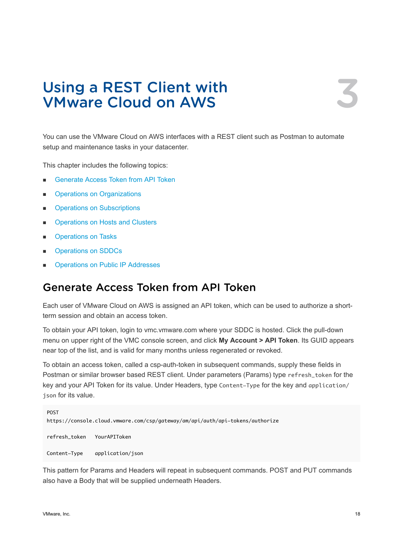# <span id="page-17-0"></span>Using a REST Client with Using a REST Client with<br>VMware Cloud on AWS

You can use the VMware Cloud on AWS interfaces with a REST client such as Postman to automate setup and maintenance tasks in your datacenter.

This chapter includes the following topics:

- **n** Generate Access Token from API Token
- **[Operations on Organizations](#page-18-0)**
- **n** [Operations on Subscriptions](#page-19-0)
- **n** [Operations on Hosts and Clusters](#page-20-0)
- **n** [Operations on Tasks](#page-22-0)
- **[Operations on SDDCs](#page-22-0)**
- **n** [Operations on Public IP Addresses](#page-24-0)

# Generate Access Token from API Token

Each user of VMware Cloud on AWS is assigned an API token, which can be used to authorize a shortterm session and obtain an access token.

To obtain your API token, login to vmc.vmware.com where your SDDC is hosted. Click the pull-down menu on upper right of the VMC console screen, and click **My Account > API Token**. Its GUID appears near top of the list, and is valid for many months unless regenerated or revoked.

To obtain an access token, called a csp-auth-token in subsequent commands, supply these fields in Postman or similar browser based REST client. Under parameters (Params) type refresh\_token for the key and your API Token for its value. Under Headers, type Content-Type for the key and application/ json for its value.

```
POST
https://console.cloud.vmware.com/csp/gateway/am/api/auth/api-tokens/authorize
refresh_token YourAPIToken
Content-Type application/json
```
This pattern for Params and Headers will repeat in subsequent commands. POST and PUT commands also have a Body that will be supplied underneath Headers.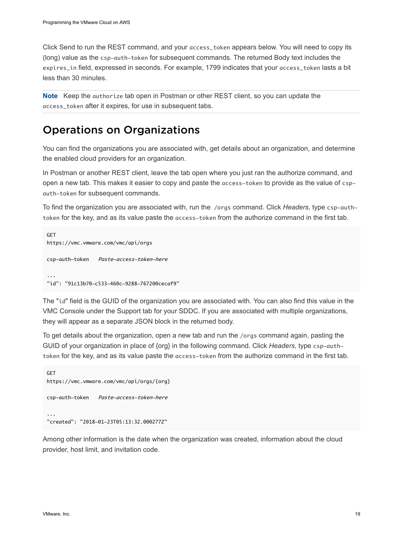<span id="page-18-0"></span>Click Send to run the REST command, and your access\_token appears below. You will need to copy its (long) value as the csp-auth-token for subsequent commands. The returned Body text includes the expires\_in field, expressed in seconds. For example, 1799 indicates that your access\_token lasts a bit less than 30 minutes.

**Note** Keep the authorize tab open in Postman or other REST client, so you can update the access\_token after it expires, for use in subsequent tabs.

## Operations on Organizations

You can find the organizations you are associated with, get details about an organization, and determine the enabled cloud providers for an organization.

In Postman or another REST client, leave the tab open where you just ran the authorize command, and open a new tab. This makes it easier to copy and paste the access-token to provide as the value of cspauth-token for subsequent commands.

To find the organization you are associated with, run the /orgs command. Click *Headers*, type csp-authtoken for the key, and as its value paste the access-token from the authorize command in the first tab.

```
GET
https://vmc.vmware.com/vmc/api/orgs
csp-auth-token Paste-access-token-here
...
"id": "91c13b70-c533-460c-9288-767200cecaf9"
```
The "id" field is the GUID of the organization you are associated with. You can also find this value in the VMC Console under the Support tab for your SDDC. If you are associated with multiple organizations, they will appear as a separate JSON block in the returned body.

To get details about the organization, open a new tab and run the /orgs command again, pasting the GUID of your organization in place of {org} in the following command. Click *Headers*, type csp-authtoken for the key, and as its value paste the access-token from the authorize command in the first tab.

```
GET
https://vmc.vmware.com/vmc/api/orgs/{org}
csp-auth-token Paste-access-token-here
...
"created": "2018-01-23T05:13:32.000277Z"
```
Among other information is the date when the organization was created, information about the cloud provider, host limit, and invitation code.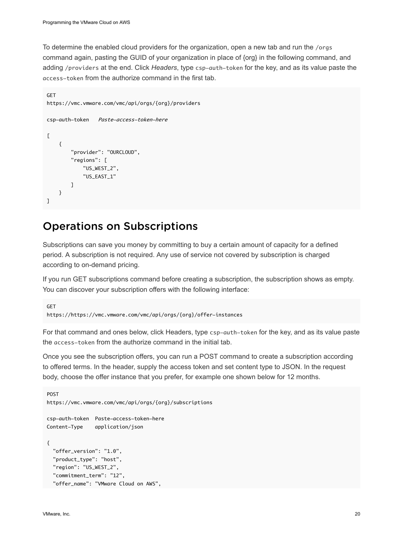<span id="page-19-0"></span>To determine the enabled cloud providers for the organization, open a new tab and run the /orgs command again, pasting the GUID of your organization in place of {org} in the following command, and adding /providers at the end. Click *Headers*, type csp-auth-token for the key, and as its value paste the access-token from the authorize command in the first tab.

```
GFT
https://vmc.vmware.com/vmc/api/orgs/{org}/providers
csp-auth-token Paste-access-token-here
\Gamma {
         "provider": "OURCLOUD",
         "regions": [
              "US_WEST_2",
              "US_EAST_1"
         ]
     }
]
```
# Operations on Subscriptions

Subscriptions can save you money by committing to buy a certain amount of capacity for a defined period. A subscription is not required. Any use of service not covered by subscription is charged according to on-demand pricing.

If you run GET subscriptions command before creating a subscription, the subscription shows as empty. You can discover your subscription offers with the following interface:

```
GET
https://https://vmc.vmware.com/vmc/api/orgs/{org}/offer-instances
```
For that command and ones below, click Headers, type csp-auth-token for the key, and as its value paste the access-token from the authorize command in the initial tab.

Once you see the subscription offers, you can run a POST command to create a subscription according to offered terms. In the header, supply the access token and set content type to JSON. In the request body, choose the offer instance that you prefer, for example one shown below for 12 months.

```
POST
https://vmc.vmware.com/vmc/api/orgs/{org}/subscriptions
csp-auth-token Paste-access-token-here
Content-Type application/json
{
  "offer_version": "1.0",
  "product_type": "host",
  "region": "US_WEST_2",
  "commitment_term": "12",
  "offer_name": "VMware Cloud on AWS",
```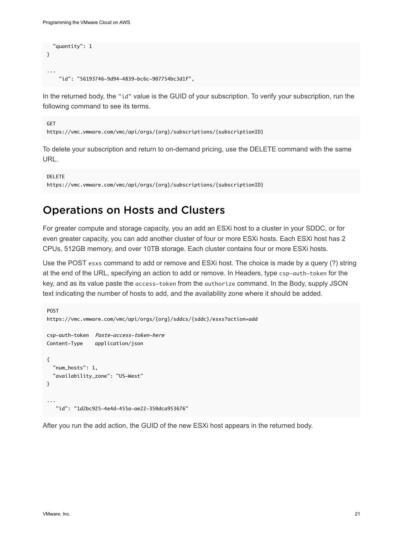```
 "quantity": 1
}
...
     "id": "56193746-9d94-4839-bc6c-907754bc3d1f",
```
In the returned body, the "id" value is the GUID of your subscription. To verify your subscription, run the following command to see its terms.

```
GET
https://vmc.vmware.com/vmc/api/orgs/{org}/subscriptions/{subscriptionID}
```
To delete your subscription and return to on-demand pricing, use the DELETE command with the same URL.

```
DELETE
https://vmc.vmware.com/vmc/api/orgs/{org}/subscriptions/{subscriptionID}
```
## Operations on Hosts and Clusters

For greater compute and storage capacity, you an add an ESXi host to a cluster in your SDDC, or for even greater capacity, you can add another cluster of four or more ESXi hosts. Each ESXi host has 2 CPUs, 512GB memory, and over 10TB storage. Each cluster contains four or more ESXi hosts.

Use the POST esxs command to add or remove and ESXi host. The choice is made by a query (?) string at the end of the URL, specifying an action to add or remove. In Headers, type csp-auth-token for the key, and as its value paste the access-token from the authorize command. In the Body, supply JSON text indicating the number of hosts to add, and the availability zone where it should be added.

```
POST
https://vmc.vmware.com/vmc/api/orgs/{org}/sddcs/{sddc}/esxs?action=add
csp-auth-token Paste-access-token-here
Content-Type application/json
{
   "num_hosts": 1,
   "availability_zone": "US-West"
}
...
    "id": "1d2bc925-4e4d-455a-ae22-350dca953676"
```
After you run the add action, the GUID of the new ESXi host appears in the returned body.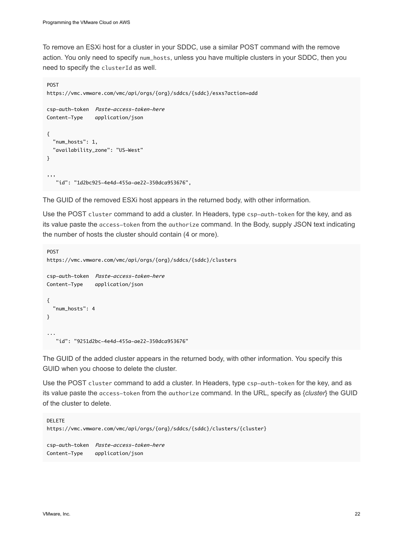To remove an ESXi host for a cluster in your SDDC, use a similar POST command with the remove action. You only need to specify num\_hosts, unless you have multiple clusters in your SDDC, then you need to specify the clusterId as well.

```
POST
https://vmc.vmware.com/vmc/api/orgs/{org}/sddcs/{sddc}/esxs?action=add
csp-auth-token Paste-access-token-here
Content-Type application/json
{
   "num_hosts": 1,
   "availability_zone": "US-West"
}
,,,
    "id": "1d2bc925-4e4d-455a-ae22-350dca953676",
```
The GUID of the removed ESXi host appears in the returned body, with other information.

Use the POST cluster command to add a cluster. In Headers, type csp-auth-token for the key, and as its value paste the access-token from the authorize command. In the Body, supply JSON text indicating the number of hosts the cluster should contain (4 or more).

```
POST
https://vmc.vmware.com/vmc/api/orgs/{org}/sddcs/{sddc}/clusters
csp-auth-token Paste-access-token-here
Content-Type application/json
{
   "num_hosts": 4
}
...
    "id": "9251d2bc-4e4d-455a-ae22-350dca953676"
```
The GUID of the added cluster appears in the returned body, with other information. You specify this GUID when you choose to delete the cluster.

Use the POST cluster command to add a cluster. In Headers, type csp-auth-token for the key, and as its value paste the access-token from the authorize command. In the URL, specify as {*cluster*} the GUID of the cluster to delete.

```
DELETE
https://vmc.vmware.com/vmc/api/orgs/{org}/sddcs/{sddc}/clusters/{cluster}
csp-auth-token Paste-access-token-here
Content-Type application/json
```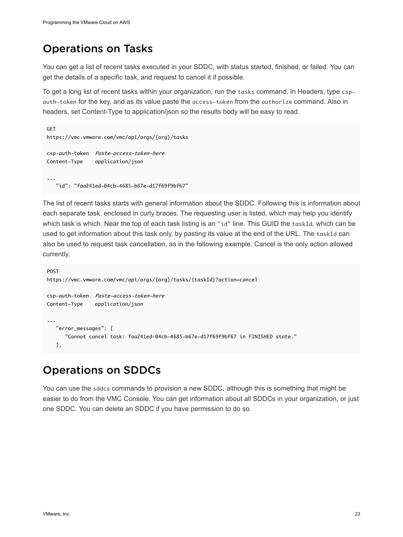# <span id="page-22-0"></span>Operations on Tasks

You can get a list of recent tasks executed in your SDDC, with status started, finished, or failed. You can get the details of a specific task, and request to cancel it if possible.

To get a long list of recent tasks within your organization, run the tasks command. In Headers, type cspauth-token for the key, and as its value paste the access-token from the authorize command. Also in headers, set Content-Type to application/json so the results body will be easy to read.

```
GET
https://vmc.vmware.com/vmc/api/orgs/{org}/tasks
csp-auth-token Paste-access-token-here
Content-Type application/json
...
    "id": "faa241ed-04cb-4685-b67e-d17f69f9bf67"
```
The list of recent tasks starts with general information about the SDDC. Following this is information about each separate task, enclosed in curly braces. The requesting user is listed, which may help you identify which task is which. Near the top of each task listing is an "id" line. This GUID the taskId, which can be used to get information about this task only, by pasting its value at the end of the URL. The taskId can also be used to request task cancellation, as in the following example. Cancel is the only action allowed currently.

```
POST
https://vmc.vmware.com/vmc/api/orgs/{org}/tasks/{taskId}?action=cancel
csp-auth-token Paste-access-token-here
Content-Type application/json
...
    "error_messages": [
       "Cannot cancel task: faa241ed-04cb-4685-b67e-d17f69f9bf67 in FINISHED state."
   ],
```
# Operations on SDDCs

You can use the sddcs commands to provision a new SDDC, although this is something that might be easier to do from the VMC Console. You can get information about all SDDCs in your organization, or just one SDDC. You can delete an SDDC if you have permission to do so.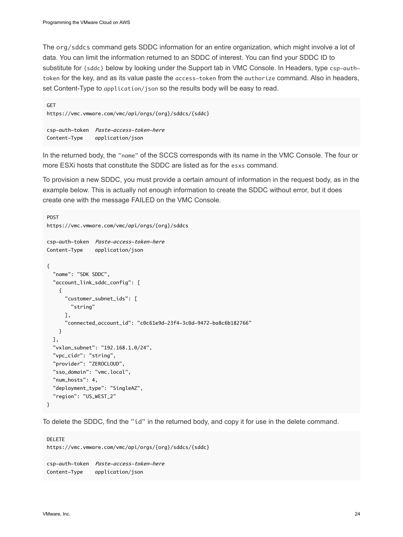The org/sddcs command gets SDDC information for an entire organization, which might involve a lot of data. You can limit the information returned to an SDDC of interest. You can find your SDDC ID to substitute for {sddc} below by looking under the Support tab in VMC Console. In Headers, type csp-authtoken for the key, and as its value paste the access-token from the authorize command. Also in headers, set Content-Type to application/json so the results body will be easy to read.

```
GET
https://vmc.vmware.com/vmc/api/orgs/{org}/sddcs/{sddc}
csp-auth-token Paste-access-token-here
Content-Type application/json
```
In the returned body, the "name" of the SCCS corresponds with its name in the VMC Console. The four or more ESXi hosts that constitute the SDDC are listed as for the esxs command.

To provision a new SDDC, you must provide a certain amount of information in the request body, as in the example below. This is actually not enough information to create the SDDC without error, but it does create one with the message FAILED on the VMC Console.

```
POST
https://vmc.vmware.com/vmc/api/orgs/{org}/sddcs
csp-auth-token Paste-access-token-here
Content-Type application/json
{
  "name": "SDK SDDC",
   "account_link_sddc_config": [
    {
       "customer_subnet_ids": [
        "string"
      ],
       "connected_account_id": "c0c61e9d-23f4-3c0d-9472-ba8c6b182766"
    }
  ],
  "vxlan_subnet": "192.168.1.0/24",
  "vpc_cidr": "string",
  "provider": "ZEROCLOUD",
  "sso_domain": "vmc.local",
  "num_hosts": 4,
  "deployment_type": "SingleAZ",
  "region": "US_WEST_2"
}
```
To delete the SDDC, find the "id" in the returned body, and copy it for use in the delete command.

```
DELETE
https://vmc.vmware.com/vmc/api/orgs/{org}/sddcs/{sddc}
csp-auth-token Paste-access-token-here
Content-Type application/json
```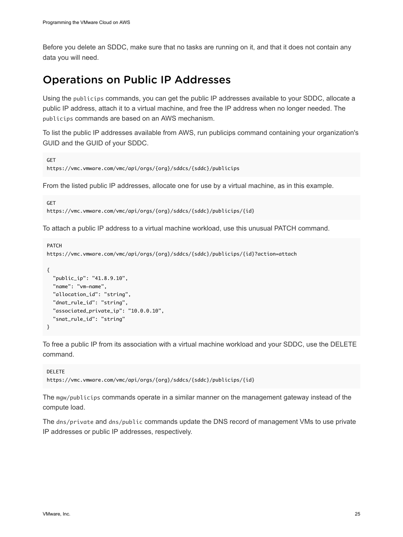<span id="page-24-0"></span>Before you delete an SDDC, make sure that no tasks are running on it, and that it does not contain any data you will need.

### Operations on Public IP Addresses

Using the publicips commands, you can get the public IP addresses available to your SDDC, allocate a public IP address, attach it to a virtual machine, and free the IP address when no longer needed. The publicips commands are based on an AWS mechanism.

To list the public IP addresses available from AWS, run publicips command containing your organization's GUID and the GUID of your SDDC.

```
GFT
https://vmc.vmware.com/vmc/api/orgs/{org}/sddcs/{sddc}/publicips
```
From the listed public IP addresses, allocate one for use by a virtual machine, as in this example.

```
GFT
https://vmc.vmware.com/vmc/api/orgs/{org}/sddcs/{sddc}/publicips/{id}
```
To attach a public IP address to a virtual machine workload, use this unusual PATCH command.

```
PATCH
https://vmc.vmware.com/vmc/api/orgs/{org}/sddcs/{sddc}/publicips/{id}?action=attach
{
  "public_ip": "41.8.9.10",
  "name": "vm-name",
  "allocation_id": "string",
  "dnat_rule_id": "string",
  "associated_private_ip": "10.0.0.10",
  "snat_rule_id": "string"
}
```
To free a public IP from its association with a virtual machine workload and your SDDC, use the DELETE command.

```
DELETE
https://vmc.vmware.com/vmc/api/orgs/{org}/sddcs/{sddc}/publicips/{id}
```
The mgw/publicips commands operate in a similar manner on the management gateway instead of the compute load.

The dns/private and dns/public commands update the DNS record of management VMs to use private IP addresses or public IP addresses, respectively.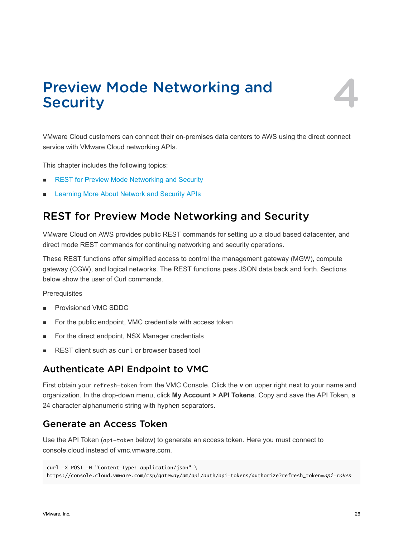# <span id="page-25-0"></span>Preview Mode Networking and Preview Mode Networking and<br>Security

VMware Cloud customers can connect their on-premises data centers to AWS using the direct connect service with VMware Cloud networking APIs.

This chapter includes the following topics:

- **REST for Preview Mode Networking and Security**
- [Learning More About Network and Security APIs](#page-27-0)

# REST for Preview Mode Networking and Security

VMware Cloud on AWS provides public REST commands for setting up a cloud based datacenter, and direct mode REST commands for continuing networking and security operations.

These REST functions offer simplified access to control the management gateway (MGW), compute gateway (CGW), and logical networks. The REST functions pass JSON data back and forth. Sections below show the user of Curl commands.

**Prerequisites** 

- **n** Provisioned VMC SDDC
- For the public endpoint, VMC credentials with access token
- For the direct endpoint, NSX Manager credentials
- REST client such as curl or browser based tool

### Authenticate API Endpoint to VMC

First obtain your refresh-token from the VMC Console. Click the **v** on upper right next to your name and organization. In the drop-down menu, click **My Account > API Tokens**. Copy and save the API Token, a 24 character alphanumeric string with hyphen separators.

### Generate an Access Token

Use the API Token (api-token below) to generate an access token. Here you must connect to console.cloud instead of vmc.vmware.com.

```
curl -X POST -H "Content-Type: application/json" \
https://console.cloud.vmware.com/csp/gateway/am/api/auth/api-tokens/authorize?refresh_token=api-token
```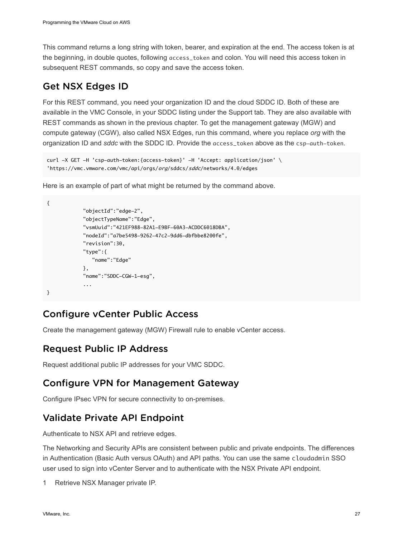This command returns a long string with token, bearer, and expiration at the end. The access token is at the beginning, in double quotes, following access\_token and colon. You will need this access token in subsequent REST commands, so copy and save the access token.

## Get NSX Edges ID

For this REST command, you need your organization ID and the cloud SDDC ID. Both of these are available in the VMC Console, in your SDDC listing under the Support tab. They are also available with REST commands as shown in the previous chapter. To get the management gateway (MGW) and compute gateway (CGW), also called NSX Edges, run this command, where you replace *org* with the organization ID and *sddc* with the SDDC ID. Provide the access\_token above as the csp-auth-token.

```
curl -X GET -H 'csp-auth-token:{access-token}' -H 'Accept: application/json' \
'https://vmc.vmware.com/vmc/api/orgs/org/sddcs/sddc/networks/4.0/edges
```
Here is an example of part of what might be returned by the command above.

```
{
              "objectId":"edge-2",
              "objectTypeName":"Edge",
              "vsmUuid":"421EF988-82A1-E9BF-60A3-ACDDC6018DBA",
              "nodeId":"a7be5498-9262-47c2-9dd6-dbfbbe8200fe",
              "revision":30,
              "type":{
                 "name":"Edge"
              },
              "name":"SDDC-CGW-1-esg",
              ...
}
```
# Configure vCenter Public Access

Create the management gateway (MGW) Firewall rule to enable vCenter access.

## Request Public IP Address

Request additional public IP addresses for your VMC SDDC.

# Configure VPN for Management Gateway

Configure IPsec VPN for secure connectivity to on-premises.

# Validate Private API Endpoint

Authenticate to NSX API and retrieve edges.

The Networking and Security APIs are consistent between public and private endpoints. The differences in Authentication (Basic Auth versus OAuth) and API paths. You can use the same cloudadmin SSO user used to sign into vCenter Server and to authenticate with the NSX Private API endpoint.

Retrieve NSX Manager private IP.